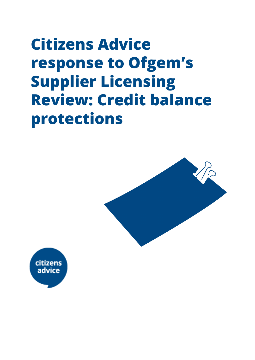# **Citizens Advice response to Ofgem's Supplier Licensing Review: Credit balance protections**



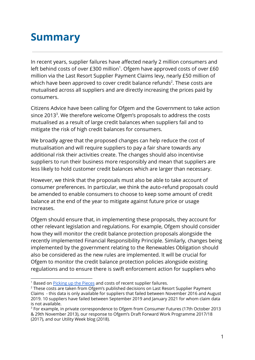### **Summary**

In recent years, supplier failures have affected nearly 2 million consumers and left behind costs of over  $£300$  million<sup>1</sup>. Ofgem have approved costs of over  $£60$ million via the Last Resort Supplier Payment Claims levy, nearly £50 million of which have been approved to cover credit balance refunds<sup>2</sup>. These costs are mutualised across all suppliers and are directly increasing the prices paid by consumers.

Citizens Advice have been calling for Ofgem and the Government to take action since 2013<sup>3</sup>. We therefore welcome Ofgem's proposals to address the costs mutualised as a result of large credit balances when suppliers fail and to mitigate the risk of high credit balances for consumers.

We broadly agree that the proposed changes can help reduce the cost of mutualisation and will require suppliers to pay a fair share towards any additional risk their activities create. The changes should also incentivise suppliers to run their business more responsibly and mean that suppliers are less likely to hold customer credit balances which are larger than necessary.

However, we think that the proposals must also be able to take account of consumer preferences. In particular, we think the auto-refund proposals could be amended to enable consumers to choose to keep some amount of credit balance at the end of the year to mitigate against future price or usage increases.

Ofgem should ensure that, in implementing these proposals, they account for other relevant legislation and regulations. For example, Ofgem should consider how they will monitor the credit balance protection proposals alongside the recently implemented Financial Responsibility Principle. Similarly, changes being implemented by the government relating to the Renewables Obligation should also be considered as the new rules are implemented. It will be crucial for Ofgem to monitor the credit balance protection policies alongside existing regulations and to ensure there is swift enforcement action for suppliers who

<sup>&</sup>lt;sup>1</sup> Based on [Picking](https://www.citizensadvice.org.uk/about-us/our-work/policy/policy-research-topics/energy-policy-research-and-consultation-responses/energy-policy-research/picking-up-the-pieces-updated-analysis/) up the Pieces and costs of recent supplier failures.

<sup>&</sup>lt;sup>2</sup> These costs are taken from Ofgem's published decisions on Last Resort Supplier Payment Claims - this data is only available for suppliers that failed between November 2016 and August 2019. 10 suppliers have failed between September 2019 and January 2021 for whom claim data is not available.

<sup>&</sup>lt;sup>3</sup> For example, in private correspondence to Ofgem from Consumer Futures (17th October 2013 & 29th November 2013), our [response](https://www.citizensadvice.org.uk/Global/CitizensAdvice/Energy/Energy%20Consultation%20responses/CitizensAdviceresponsetoOfgemsForwardWorkProgramme2017-18%20(2).pdf) to Ofgem's Draft Forward Work Programme 2017/18 (2017), and our Utility Week [blog](https://utilityweek.co.uk/ofgem-must-tighten-licensing-regime-new-suppliers/) (2018).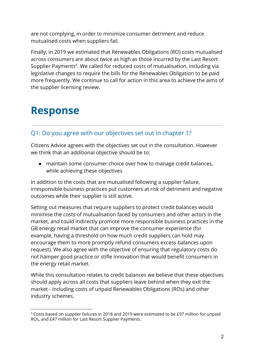are not complying, in order to minimize consumer detriment and reduce mutualised costs when suppliers fail.

Finally, in 2019 we estimated that Renewables Obligations (RO) costs mutualised across consumers are about twice as high as those incurred by the Last Resort Supplier Payments<sup>4</sup>. We called for reduced costs of mutualisation, including via legislative changes to require the bills for the Renewables Obligation to be paid more frequently. We continue to call for action in this area to achieve the aims of the supplier licensing review.

## **Response**

#### Q1: Do you agree with our objectives set out in chapter 1?

Citizens Advice agrees with the objectives set out in the consultation. However we think that an additional objective should be to:

● maintain some consumer choice over how to manage credit balances, while achieving these objectives

In addition to the costs that are mutualised following a supplier failure, irresponsible business practices put customers at risk of detriment and negative outcomes while their supplier is still active.

Setting out measures that require suppliers to protect credit balances would minimise the costs of mutualisation faced by consumers and other actors in the market, and could indirectly promote more responsible business practices in the GB energy retail market that can improve the consumer experience (for example, having a threshold on how much credit suppliers can hold may encourage them to more promptly refund consumers excess balances upon request). We also agree with the objective of ensuring that regulatory costs do not hamper good practice or stifle innovation that would benefit consumers in the energy retail market.

While this consultation relates to credit balances we believe that these objectives should apply across all costs that suppliers leave behind when they exit the market - including costs of unpaid Renewables Obligations (ROs) and other industry schemes.

<sup>4</sup> Costs based on supplier failures in 2018 and 2019 were estimated to be £97 million for unpaid ROs, and £47 million for Last Resort Supplier Payments.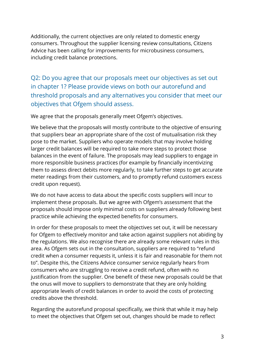Additionally, the current objectives are only related to domestic energy consumers. Throughout the supplier licensing review consultations, Citizens Advice has been calling for improvements for microbusiness consumers, including credit balance protections.

Q2: Do you agree that our proposals meet our objectives as set out in chapter 1? Please provide views on both our autorefund and threshold proposals and any alternatives you consider that meet our objectives that Ofgem should assess.

We agree that the proposals generally meet Ofgem's objectives.

We believe that the proposals will mostly contribute to the objective of ensuring that suppliers bear an appropriate share of the cost of mutualisation risk they pose to the market. Suppliers who operate models that may involve holding larger credit balances will be required to take more steps to protect those balances in the event of failure. The proposals may lead suppliers to engage in more responsible business practices (for example by financially incentivizing them to assess direct debits more regularly, to take further steps to get accurate meter readings from their customers, and to promptly refund customers excess credit upon request).

We do not have access to data about the specific costs suppliers will incur to implement these proposals. But we agree with Ofgem's assessment that the proposals should impose only minimal costs on suppliers already following best practice while achieving the expected benefits for consumers.

In order for these proposals to meet the objectives set out, it will be necessary for Ofgem to effectively monitor and take action against suppliers not abiding by the regulations. We also recognise there are already some relevant rules in this area. As Ofgem sets out in the consultation, suppliers are required to "refund credit when a consumer requests it, unless it is fair and reasonable for them not to". Despite this, the Citizens Advice consumer service regularly hears from consumers who are struggling to receive a credit refund, often with no justification from the supplier. One benefit of these new proposals could be that the onus will move to suppliers to demonstrate that they are only holding appropriate levels of credit balances in order to avoid the costs of protecting credits above the threshold.

Regarding the autorefund proposal specifically, we think that while it may help to meet the objectives that Ofgem set out, changes should be made to reflect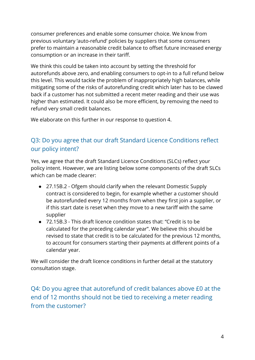consumer preferences and enable some consumer choice. We know from previous voluntary 'auto-refund' policies by suppliers that some consumers prefer to maintain a reasonable credit balance to offset future increased energy consumption or an increase in their tariff.

We think this could be taken into account by setting the threshold for autorefunds above zero, and enabling consumers to opt-in to a full refund below this level. This would tackle the problem of inappropriately high balances, while mitigating some of the risks of autorefunding credit which later has to be clawed back if a customer has not submitted a recent meter reading and their use was higher than estimated. It could also be more efficient, by removing the need to refund very small credit balances.

We elaborate on this further in our response to question 4.

#### Q3: Do you agree that our draft Standard Licence Conditions reflect our policy intent?

Yes, we agree that the draft Standard Licence Conditions (SLCs) reflect your policy intent. However, we are listing below some components of the draft SLCs which can be made clearer:

- 27.15B.2 Ofgem should clarify when the relevant Domestic Supply contract is considered to begin, for example whether a customer should be autorefunded every 12 months from when they first join a supplier, or if this start date is reset when they move to a new tariff with the same supplier
- 72.15B.3 This draft licence condition states that: "Credit is to be calculated for the preceding calendar year". We believe this should be revised to state that credit is to be calculated for the previous 12 months, to account for consumers starting their payments at different points of a calendar year.

We will consider the draft licence conditions in further detail at the statutory consultation stage.

Q4: Do you agree that autorefund of credit balances above £0 at the end of 12 months should not be tied to receiving a meter reading from the customer?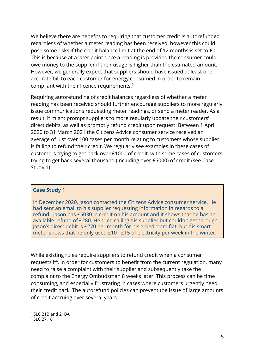We believe there are benefits to requiring that customer credit is autorefunded regardless of whether a meter reading has been received, however this could pose some risks if the credit balance limit at the end of 12 months is set to £0. This is because at a later point once a reading is provided the consumer could owe money to the supplier if their usage is higher than the estimated amount. However, we generally expect that suppliers should have issued at least one accurate bill to each customer for energy consumed in order to remain compliant with their licence requirements.<sup>5</sup>

Requiring autorefunding of credit balances regardless of whether a meter reading has been received should further encourage suppliers to more regularly issue communications requesting meter readings, or send a meter reader. As a result, it might prompt suppliers to more regularly update their customers' direct debits, as well as promptly refund credit upon request. Between 1 April 2020 to 31 March 2021 the Citizens Advice consumer service received an average of just over 100 cases per month relating to customers whose supplier is failing to refund their credit. We regularly see examples in these cases of customers trying to get back over £1000 of credit, with some cases of customers trying to get back several thousand (including over £5000) of credit (see Case Study 1).

#### **Case Study 1**

In December 2020, Jason contacted the Citizens Advice consumer service. He had sent an email to his supplier requesting information in regards to a refund. Jason has £5030 in credit on his account and it shows that he has an available refund of £280. He tried calling his supplier but couldn't get through. Jason's direct debit is £270 per month for his 1-bedroom flat, but his smart meter shows that he only used £10 - £15 of electricity per week in the winter.

While existing rules require suppliers to refund credit when a consumer requests it<sup>6</sup>, in order for customers to benefit from the current regulation, many need to raise a complaint with their supplier and subsequently take the complaint to the Energy Ombudsman 8 weeks later. This process can be time consuming, and especially frustrating in cases where customers urgently need their credit back. The autorefund policies can prevent the issue of large amounts of credit accruing over several years.

<sup>5</sup> SLC 21B and 21BA

<sup>6</sup> SLC 27.16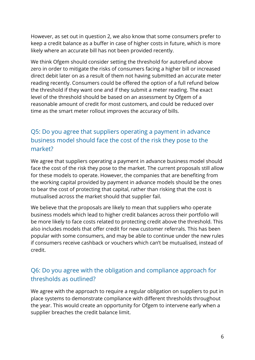However, as set out in question 2, we also know that some consumers prefer to keep a credit balance as a buffer in case of higher costs in future, which is more likely where an accurate bill has not been provided recently.

We think Ofgem should consider setting the threshold for autorefund above zero in order to mitigate the risks of consumers facing a higher bill or increased direct debit later on as a result of them not having submitted an accurate meter reading recently. Consumers could be offered the option of a full refund below the threshold if they want one and if they submit a meter reading. The exact level of the threshold should be based on an assessment by Ofgem of a reasonable amount of credit for most customers, and could be reduced over time as the smart meter rollout improves the accuracy of bills.

### Q5: Do you agree that suppliers operating a payment in advance business model should face the cost of the risk they pose to the market?

We agree that suppliers operating a payment in advance business model should face the cost of the risk they pose to the market. The current proposals still allow for these models to operate. However, the companies that are benefiting from the working capital provided by payment in advance models should be the ones to bear the cost of protecting that capital, rather than risking that the cost is mutualised across the market should that supplier fail.

We believe that the proposals are likely to mean that suppliers who operate business models which lead to higher credit balances across their portfolio will be more likely to face costs related to protecting credit above the threshold. This also includes models that offer credit for new customer referrals. This has been popular with some consumers, and may be able to continue under the new rules if consumers receive cashback or vouchers which can't be mutualised, instead of credit.

#### Q6: Do you agree with the obligation and compliance approach for thresholds as outlined?

We agree with the approach to require a regular obligation on suppliers to put in place systems to demonstrate compliance with different thresholds throughout the year. This would create an opportunity for Ofgem to intervene early when a supplier breaches the credit balance limit.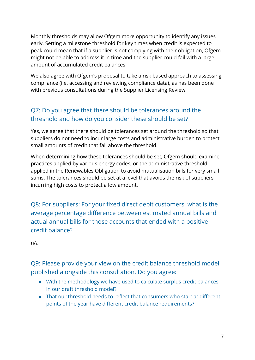Monthly thresholds may allow Ofgem more opportunity to identify any issues early. Setting a milestone threshold for key times when credit is expected to peak could mean that if a supplier is not complying with their obligation, Ofgem might not be able to address it in time and the supplier could fail with a large amount of accumulated credit balances.

We also agree with Ofgem's proposal to take a risk based approach to assessing compliance (i.e. accessing and reviewing compliance data), as has been done with previous consultations during the Supplier Licensing Review.

#### Q7: Do you agree that there should be tolerances around the threshold and how do you consider these should be set?

Yes, we agree that there should be tolerances set around the threshold so that suppliers do not need to incur large costs and administrative burden to protect small amounts of credit that fall above the threshold.

When determining how these tolerances should be set, Ofgem should examine practices applied by various energy codes, or the administrative threshold applied in the Renewables Obligation to avoid mutualisation bills for very small sums. The tolerances should be set at a level that avoids the risk of suppliers incurring high costs to protect a low amount.

Q8: For suppliers: For your fixed direct debit customers, what is the average percentage difference between estimated annual bills and actual annual bills for those accounts that ended with a positive credit balance?

n/a

Q9: Please provide your view on the credit balance threshold model published alongside this consultation. Do you agree:

- With the methodology we have used to calculate surplus credit balances in our draft threshold model?
- That our threshold needs to reflect that consumers who start at different points of the year have different credit balance requirements?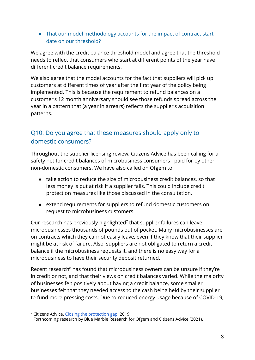● That our model methodology accounts for the impact of contract start date on our threshold?

We agree with the credit balance threshold model and agree that the threshold needs to reflect that consumers who start at different points of the year have different credit balance requirements.

We also agree that the model accounts for the fact that suppliers will pick up customers at different times of year after the first year of the policy being implemented. This is because the requirement to refund balances on a customer's 12 month anniversary should see those refunds spread across the year in a pattern that (a year in arrears) reflects the supplier's acquisition patterns.

### Q10: Do you agree that these measures should apply only to domestic consumers?

Throughout the supplier licensing review, Citizens Advice has been calling for a safety net for credit balances of microbusiness consumers - paid for by other non-domestic consumers. We have also called on Ofgem to:

- take action to reduce the size of microbusiness credit balances, so that less money is put at risk if a supplier fails. This could include credit protection measures like those discussed in the consultation.
- extend requirements for suppliers to refund domestic customers on request to microbusiness customers.

Our research has previously highlighted<sup>7</sup> that supplier failures can leave microbusinesses thousands of pounds out of pocket. Many microbusinesses are on contracts which they cannot easily leave, even if they know that their supplier might be at risk of failure. Also, suppliers are not obligated to return a credit balance if the microbusiness requests it, and there is no easy way for a microbusiness to have their security deposit returned.

Recent research<sup>8</sup> has found that microbusiness owners can be unsure if they're in credit or not, and that their views on credit balances varied. While the majority of businesses felt positively about having a credit balance, some smaller businesses felt that they needed access to the cash being held by their supplier to fund more pressing costs. Due to reduced energy usage because of COVID-19,

<sup>&</sup>lt;sup>7</sup> Citizens Advice. Closing the [protection](https://www.citizensadvice.org.uk/about-us/policy/policy-research-topics/energy-policy-research-and-consultation-responses/energy-policy-research/closing-the-protection-gap/) gap. 2019

**<sup>8</sup> Forthcoming research by Blue Marble Research for Ofgem and Citizens Advice (2021).**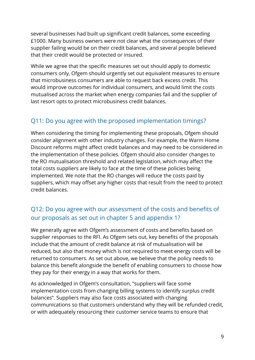several businesses had built up significant credit balances, some exceeding £1000. Many business owners were not clear what the consequences of their supplier failing would be on their credit balances, and several people believed that their credit would be protected or insured.

While we agree that the specific measures set out should apply to domestic consumers only, Ofgem should urgently set out equivalent measures to ensure that microbusiness consumers are able to request back excess credit. This would improve outcomes for individual consumers, and would limit the costs mutualised across the market when energy companies fail and the supplier of last resort opts to protect microbusiness credit balances.

#### Q11: Do you agree with the proposed implementation timings?

When considering the timing for implementing these proposals, Ofgem should consider alignment with other industry changes. For example, the Warm Home Discount reforms might affect credit balances and may need to be considered in the implementation of these policies. Ofgem should also consider changes to the RO mutualisation threshold and related legislation, which may affect the total costs suppliers are likely to face at the time of these policies being implemented. We note that the RO changes will reduce the costs paid by suppliers, which may offset any higher costs that result from the need to protect credit balances.

#### Q12: Do you agree with our assessment of the costs and benefits of our proposals as set out in chapter 5 and appendix 1?

We generally agree with Ofgem's assessment of costs and benefits based on supplier responses to the RFI. As Ofgem sets out, key benefits of the proposals include that the amount of credit balance at risk of mutualisation will be reduced, but also that money which is not required to meet energy costs will be returned to consumers. As set out above, we believe that the policy needs to balance this benefit alongside the benefit of enabling consumers to choose how they pay for their energy in a way that works for them.

As acknowledged in Ofgem's consultation, "suppliers will face some implementation costs from changing billing systems to identify surplus credit balances". Suppliers may also face costs associated with changing communications so that customers understand why they will be refunded credit, or with adequately resourcing their customer service teams to ensure that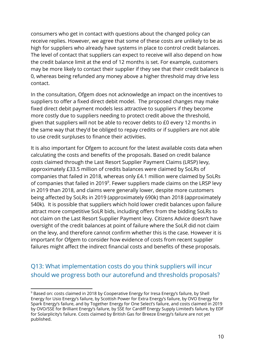consumers who get in contact with questions about the changed policy can receive replies. However, we agree that some of these costs are unlikely to be as high for suppliers who already have systems in place to control credit balances. The level of contact that suppliers can expect to receive will also depend on how the credit balance limit at the end of 12 months is set. For example, customers may be more likely to contact their supplier if they see that their credit balance is 0, whereas being refunded any money above a higher threshold may drive less contact.

In the consultation, Ofgem does not acknowledge an impact on the incentives to suppliers to offer a fixed direct debit model. The proposed changes may make fixed direct debit payment models less attractive to suppliers if they become more costly due to suppliers needing to protect credit above the threshold, given that suppliers will not be able to recover debts to £0 every 12 months in the same way that they'd be obliged to repay credits or if suppliers are not able to use credit surpluses to finance their activities.

It is also important for Ofgem to account for the latest available costs data when calculating the costs and benefits of the proposals. Based on credit balance costs claimed through the Last Resort Supplier Payment Claims (LRSP) levy, approximately £33.5 million of credits balances were claimed by SoLRs of companies that failed in 2018, whereas only £4.1 million were claimed by SoLRs of companies that failed in 2019<sup>9</sup>. Fewer suppliers made claims on the LRSP levy in 2019 than 2018, and claims were generally lower, despite more customers being affected by SoLRs in 2019 (approximately 690k) than 2018 (approximately 540k). It is possible that suppliers which hold lower credit balances upon failure attract more competitive SoLR bids, including offers from the bidding SoLRs to not claim on the Last Resort Supplier Payment levy. Citizens Advice doesn't have oversight of the credit balances at point of failure where the SoLR did not claim on the levy, and therefore cannot confirm whether this is the case. However it is important for Ofgem to consider how evidence of costs from recent supplier failures might affect the indirect financial costs and benefits of these proposals.

Q13: What implementation costs do you think suppliers will incur should we progress both our autorefund and thresholds proposals?

<sup>&</sup>lt;sup>9</sup> Based on: costs claimed in 2018 by Cooperative Energy for Iresa Energy's failure, by Shell Energy for Usio Energy's failure, by Scottish Power for Extra Energy's failure, by OVO Energy for Spark Energy's failure, and by Together Energy for One Select's failure, and costs claimed in 2019 by OVO/SSE for Brilliant Energy's failure, by SSE for Cardiff Energy Supply Limited's failure, by EDF for Solarplicity's failure. Costs claimed by British Gas for Breeze Energy's failure are not yet published.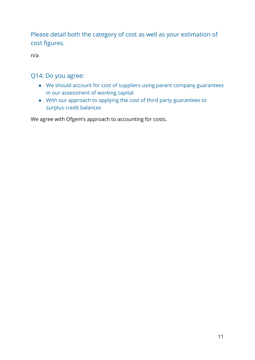Please detail both the category of cost as well as your estimation of cost figures.

n/a

#### Q14: Do you agree:

- We should account for cost of suppliers using parent company guarantees in our assessment of working capital
- With our approach to applying the cost of third party guarantees to surplus credit balances

We agree with Ofgem's approach to accounting for costs.